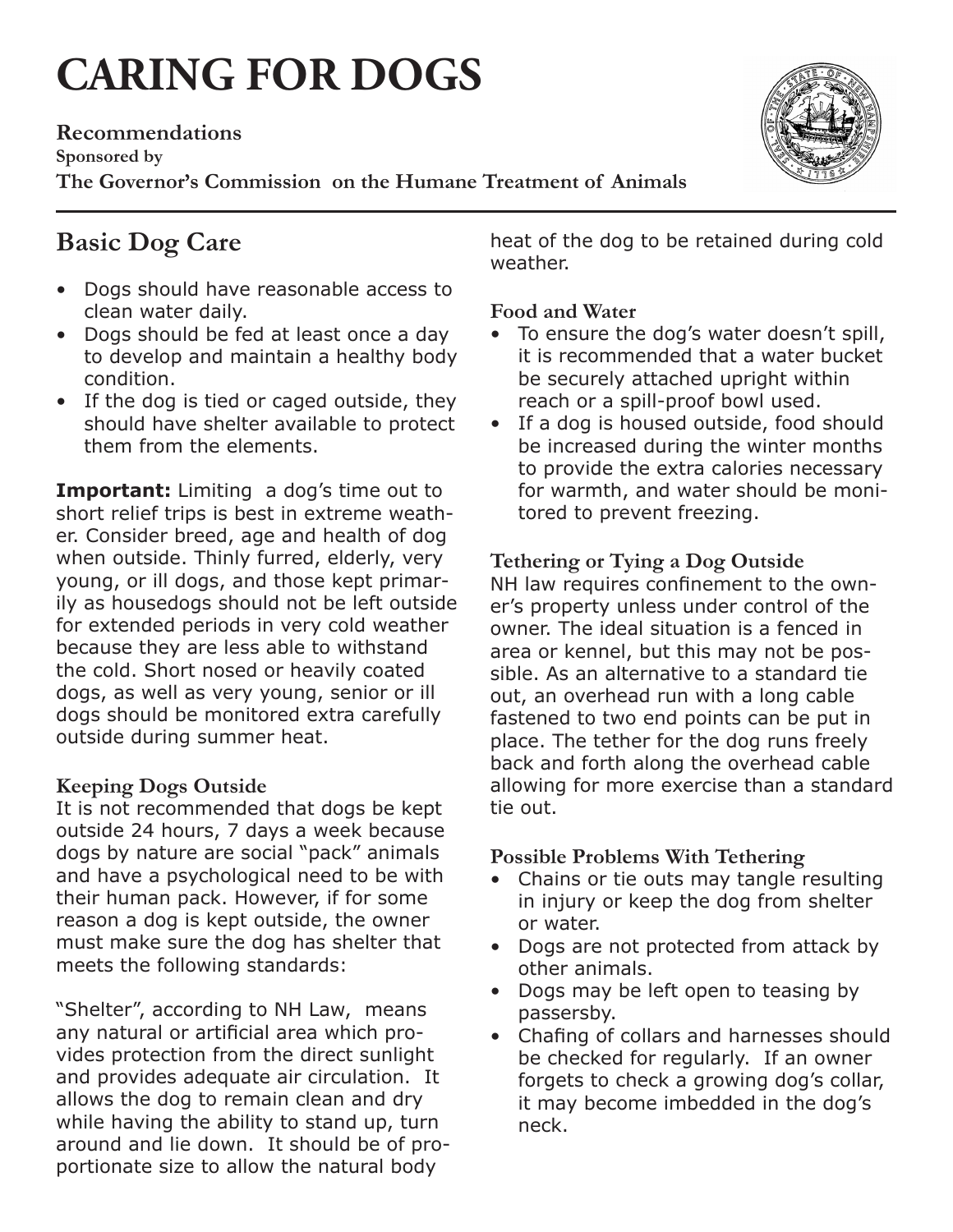# **CARING FOR DOGS**

**Recommendations Sponsored by The Governor's Commission on the Humane Treatment of Animals**

# **Basic Dog Care**

- • Dogs should have reasonable access to clean water daily.
- Dogs should be fed at least once a day to develop and maintain a healthy body condition.
- If the dog is tied or caged outside, they should have shelter available to protect them from the elements.

**Important:** Limiting a dog's time out to short relief trips is best in extreme weather. Consider breed, age and health of dog when outside. Thinly furred, elderly, very young, or ill dogs, and those kept primarily as housedogs should not be left outside for extended periods in very cold weather because they are less able to withstand the cold. Short nosed or heavily coated dogs, as well as very young, senior or ill dogs should be monitored extra carefully outside during summer heat.

## **Keeping Dogs Outside**

It is not recommended that dogs be kept outside 24 hours, 7 days a week because dogs by nature are social "pack" animals and have a psychological need to be with their human pack. However, if for some reason a dog is kept outside, the owner must make sure the dog has shelter that meets the following standards:

"Shelter", according to NH Law, means any natural or artificial area which provides protection from the direct sunlight and provides adequate air circulation. It allows the dog to remain clean and dry while having the ability to stand up, turn around and lie down. It should be of proportionate size to allow the natural body

heat of the dog to be retained during cold weather.

## **Food and Water**

- To ensure the dog's water doesn't spill, it is recommended that a water bucket be securely attached upright within reach or a spill-proof bowl used.
- If a dog is housed outside, food should be increased during the winter months to provide the extra calories necessary for warmth, and water should be monitored to prevent freezing.

## **Tethering or Tying a Dog Outside**

NH law requires confinement to the owner's property unless under control of the owner. The ideal situation is a fenced in area or kennel, but this may not be possible. As an alternative to a standard tie out, an overhead run with a long cable fastened to two end points can be put in place. The tether for the dog runs freely back and forth along the overhead cable allowing for more exercise than a standard tie out.

## **Possible Problems With Tethering**

- Chains or tie outs may tangle resulting in injury or keep the dog from shelter or water.
- • Dogs are not protected from attack by other animals.
- Dogs may be left open to teasing by passersby.
- Chafing of collars and harnesses should be checked for regularly. If an owner forgets to check a growing dog's collar, it may become imbedded in the dog's neck.